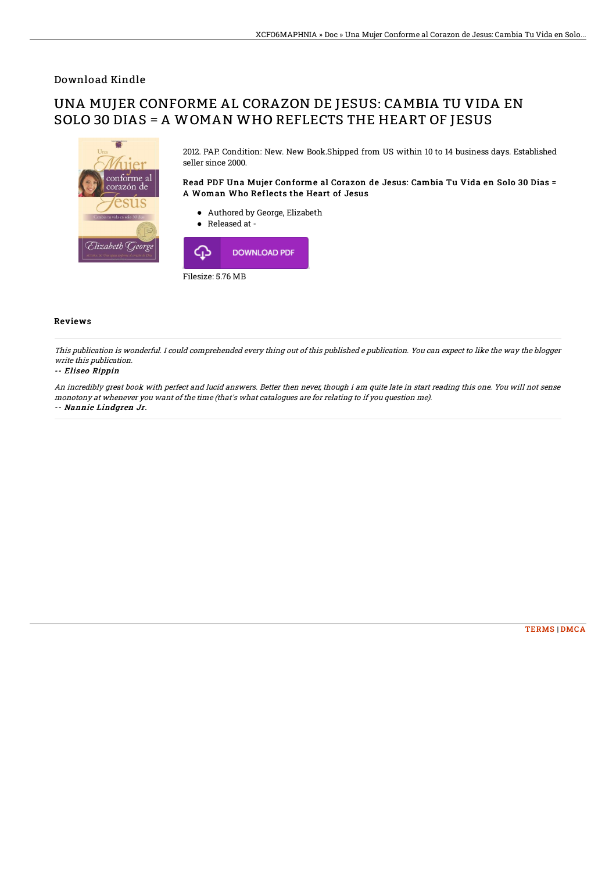### Download Kindle

# UNA MUJER CONFORME AL CORAZON DE JESUS: CAMBIA TU VIDA EN SOLO 30 DIAS = A WOMAN WHO REFLECTS THE HEART OF JESUS



2012. PAP. Condition: New. New Book.Shipped from US within 10 to 14 business days. Established seller since 2000.

#### Read PDF Una Mujer Conforme al Corazon de Jesus: Cambia Tu Vida en Solo 30 Dias = A Woman Who Reflects the Heart of Jesus

- Authored by George, Elizabeth
- Released at -



#### Reviews

This publication is wonderful. I could comprehended every thing out of this published <sup>e</sup> publication. You can expect to like the way the blogger write this publication.

#### -- Eliseo Rippin

An incredibly great book with perfect and lucid answers. Better then never, though i am quite late in start reading this one. You will not sense monotony at whenever you want of the time (that's what catalogues are for relating to if you question me). -- Nannie Lindgren Jr.